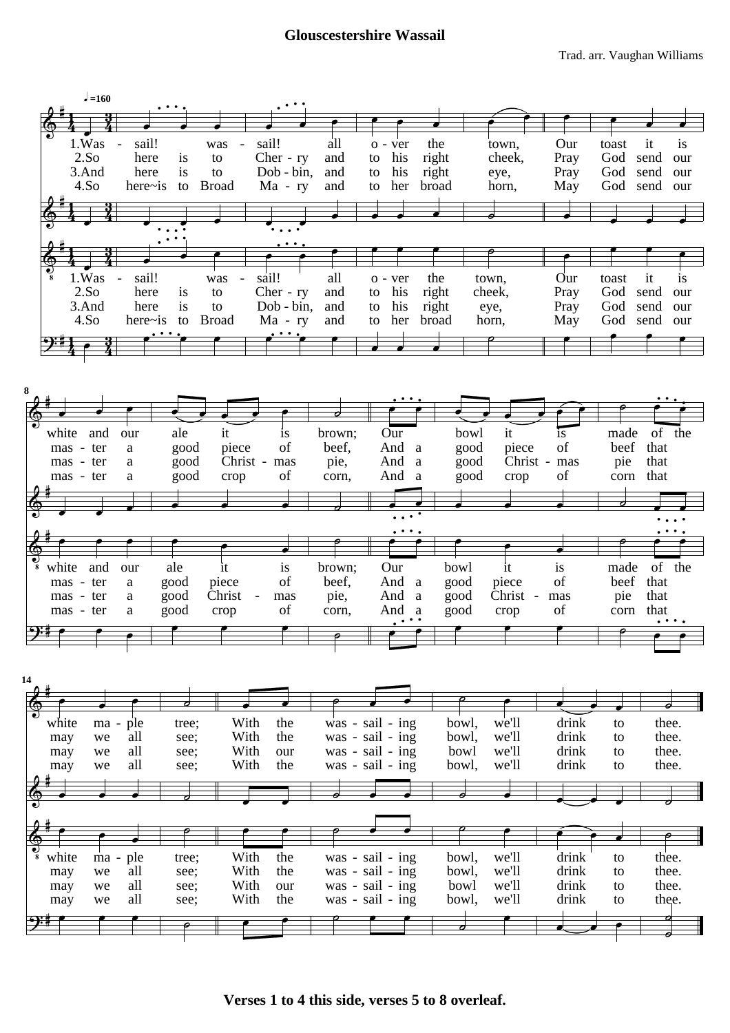## **Glouscestershire Wassail**



**Verses 1 to 4 this side, verses 5 to 8 overleaf.**